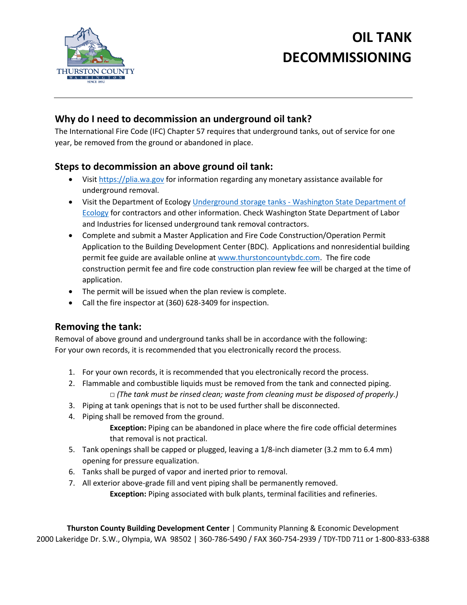

# **OIL TANK DECOMMISSIONING**

## **Why do I need to decommission an underground oil tank?**

The International Fire Code (IFC) Chapter 57 requires that underground tanks, out of service for one year, be removed from the ground or abandoned in place.

## **Steps to decommission an above ground oil tank:**

- Visit [https://plia.wa.gov](https://plia.wa.gov/) for information regarding any monetary assistance available for underground removal.
- Visit the Department of Ecology Underground storage tanks [Washington State Department of](https://ecology.wa.gov/Spills-Cleanup/Contamination-cleanup/Underground-storage-tanks)  [Ecology](https://ecology.wa.gov/Spills-Cleanup/Contamination-cleanup/Underground-storage-tanks) for contractors and other information. Check Washington State Department of Labor and Industries for licensed underground tank removal contractors.
- Complete and submit a Master Application and Fire Code Construction/Operation Permit Application to the Building Development Center (BDC). Applications and nonresidential building permit fee guide are available online a[t www.thurstoncountybdc.com.](http://www.thurstoncountybdc.com/) The fire code construction permit fee and fire code construction plan review fee will be charged at the time of application.
- The permit will be issued when the plan review is complete.
- Call the fire inspector at (360) 628-3409 for inspection.

#### **Removing the tank:**

Removal of above ground and underground tanks shall be in accordance with the following: For your own records, it is recommended that you electronically record the process.

- 1. For your own records, it is recommended that you electronically record the process.
- 2. Flammable and combustible liquids must be removed from the tank and connected piping. □ (The tank must be rinsed clean; waste from cleaning must be disposed of properly.)
- 3. Piping at tank openings that is not to be used further shall be disconnected.
- 4. Piping shall be removed from the ground.
	- **Exception:** Piping can be abandoned in place where the fire code official determines that removal is not practical.
- 5. Tank openings shall be capped or plugged, leaving a 1/8-inch diameter (3.2 mm to 6.4 mm) opening for pressure equalization.
- 6. Tanks shall be purged of vapor and inerted prior to removal.
- 7. All exterior above-grade fill and vent piping shall be permanently removed. **Exception:** Piping associated with bulk plants, terminal facilities and refineries.

**Thurston County Building Development Center** | Community Planning & Economic Development 2000 Lakeridge Dr. S.W., Olympia, WA 98502 | 360-786-5490 / FAX 360-754-2939 / TDY-TDD 711 or 1-800-833-6388